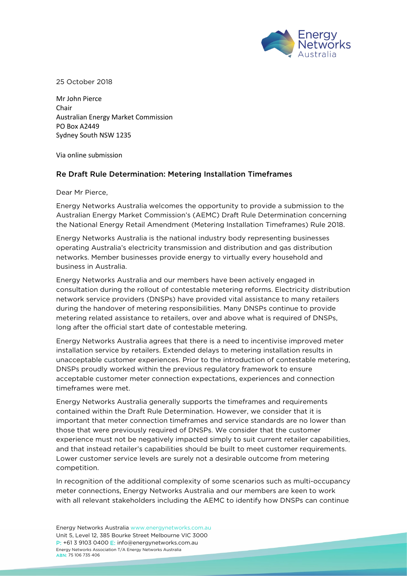

25 October 2018

Mr John Pierce Chair Australian Energy Market Commission PO Box A2449 Sydney South NSW 1235

Via online submission

## Re Draft Rule Determination: Metering Installation Timeframes

Dear Mr Pierce,

Energy Networks Australia welcomes the opportunity to provide a submission to the Australian Energy Market Commission's (AEMC) Draft Rule Determination concerning the National Energy Retail Amendment (Metering Installation Timeframes) Rule 2018.

Energy Networks Australia is the national industry body representing businesses operating Australia's electricity transmission and distribution and gas distribution networks. Member businesses provide energy to virtually every household and business in Australia.

Energy Networks Australia and our members have been actively engaged in consultation during the rollout of contestable metering reforms. Electricity distribution network service providers (DNSPs) have provided vital assistance to many retailers during the handover of metering responsibilities. Many DNSPs continue to provide metering related assistance to retailers, over and above what is required of DNSPs, long after the official start date of contestable metering.

Energy Networks Australia agrees that there is a need to incentivise improved meter installation service by retailers. Extended delays to metering installation results in unacceptable customer experiences. Prior to the introduction of contestable metering, DNSPs proudly worked within the previous regulatory framework to ensure acceptable customer meter connection expectations, experiences and connection timeframes were met.

Energy Networks Australia generally supports the timeframes and requirements contained within the Draft Rule Determination. However, we consider that it is important that meter connection timeframes and service standards are no lower than those that were previously required of DNSPs. We consider that the customer experience must not be negatively impacted simply to suit current retailer capabilities, and that instead retailer's capabilities should be built to meet customer requirements. Lower customer service levels are surely not a desirable outcome from metering competition.

In recognition of the additional complexity of some scenarios such as multi-occupancy meter connections, Energy Networks Australia and our members are keen to work with all relevant stakeholders including the AEMC to identify how DNSPs can continue